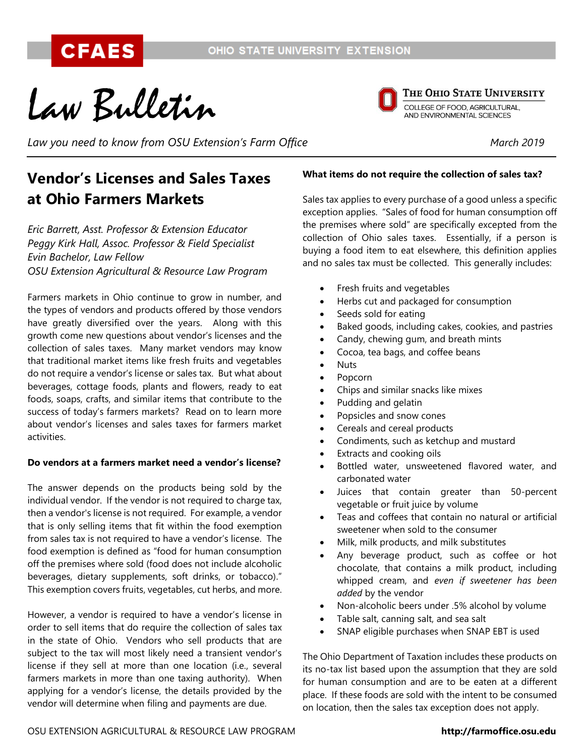Law Bulletin

THE OHIO STATE UNIVERSITY

COLLEGE OF FOOD, AGRICULTURAL,<br>AND ENVIRONMENTAL SCIENCES

Law you need to know from OSU Extension's Farm Office *March 2019* March 2019

# **Vendor's Licenses and Sales Taxes at Ohio Farmers Markets**

*Eric Barrett, Asst. Professor & Extension Educator Peggy Kirk Hall, Assoc. Professor & Field Specialist Evin Bachelor, Law Fellow OSU Extension Agricultural & Resource Law Program*

Farmers markets in Ohio continue to grow in number, and the types of vendors and products offered by those vendors have greatly diversified over the years. Along with this growth come new questions about vendor's licenses and the collection of sales taxes. Many market vendors may know that traditional market items like fresh fruits and vegetables do not require a vendor's license or sales tax. But what about beverages, cottage foods, plants and flowers, ready to eat foods, soaps, crafts, and similar items that contribute to the success of today's farmers markets? Read on to learn more about vendor's licenses and sales taxes for farmers market activities.

# **Do vendors at a farmers market need a vendor's license?**

The answer depends on the products being sold by the individual vendor. If the vendor is not required to charge tax, then a vendor's license is not required. For example, a vendor that is only selling items that fit within the food exemption from sales tax is not required to have a vendor's license. The food exemption is defined as "food for human consumption off the premises where sold (food does not include alcoholic beverages, dietary supplements, soft drinks, or tobacco)." This exemption covers fruits, vegetables, cut herbs, and more.

However, a vendor is required to have a vendor's license in order to sell items that do require the collection of sales tax in the state of Ohio. Vendors who sell products that are subject to the tax will most likely need a transient vendor's license if they sell at more than one location (i.e., several farmers markets in more than one taxing authority). When applying for a vendor's license, the details provided by the vendor will determine when filing and payments are due.

### **What items do not require the collection of sales tax?**

Sales tax applies to every purchase of a good unless a specific exception applies. "Sales of food for human consumption off the premises where sold" are specifically excepted from the collection of Ohio sales taxes. Essentially, if a person is buying a food item to eat elsewhere, this definition applies and no sales tax must be collected. This generally includes:

- Fresh fruits and vegetables
- Herbs cut and packaged for consumption
- Seeds sold for eating
- Baked goods, including cakes, cookies, and pastries
- Candy, chewing gum, and breath mints
- Cocoa, tea bags, and coffee beans
- Nuts
- Popcorn
- Chips and similar snacks like mixes
- Pudding and gelatin
- Popsicles and snow cones
- Cereals and cereal products
- Condiments, such as ketchup and mustard
- Extracts and cooking oils
- Bottled water, unsweetened flavored water, and carbonated water
- Juices that contain greater than 50-percent vegetable or fruit juice by volume
- Teas and coffees that contain no natural or artificial sweetener when sold to the consumer
- Milk, milk products, and milk substitutes
- Any beverage product, such as coffee or hot chocolate, that contains a milk product, including whipped cream, and *even if sweetener has been added* by the vendor
- Non-alcoholic beers under .5% alcohol by volume
- Table salt, canning salt, and sea salt
- SNAP eligible purchases when SNAP EBT is used

The Ohio Department of Taxation includes these products on its no-tax list based upon the assumption that they are sold for human consumption and are to be eaten at a different place. If these foods are sold with the intent to be consumed on location, then the sales tax exception does not apply.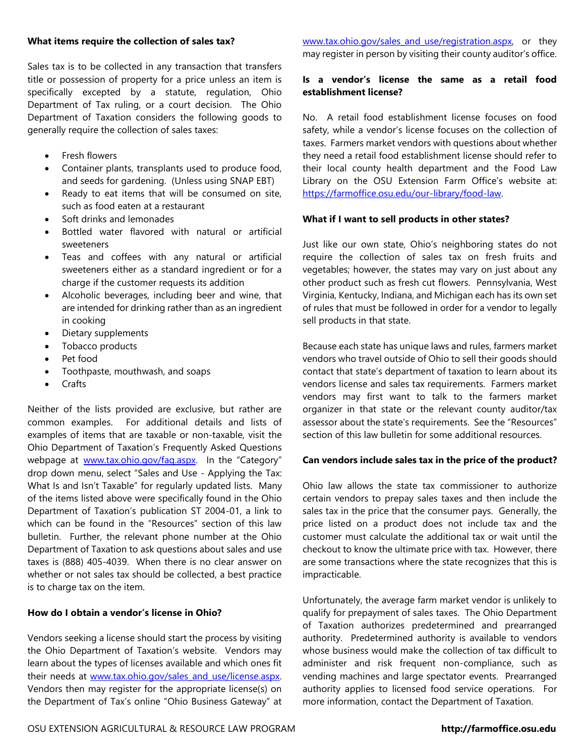#### **What items require the collection of sales tax?**

Sales tax is to be collected in any transaction that transfers title or possession of property for a price unless an item is specifically excepted by a statute, regulation, Ohio Department of Tax ruling, or a court decision. The Ohio Department of Taxation considers the following goods to generally require the collection of sales taxes:

- Fresh flowers
- Container plants, transplants used to produce food, and seeds for gardening. (Unless using SNAP EBT)
- Ready to eat items that will be consumed on site, such as food eaten at a restaurant
- Soft drinks and lemonades
- Bottled water flavored with natural or artificial sweeteners
- Teas and coffees with any natural or artificial sweeteners either as a standard ingredient or for a charge if the customer requests its addition
- Alcoholic beverages, including beer and wine, that are intended for drinking rather than as an ingredient in cooking
- Dietary supplements
- Tobacco products
- Pet food
- Toothpaste, mouthwash, and soaps
- Crafts

Neither of the lists provided are exclusive, but rather are common examples. For additional details and lists of examples of items that are taxable or non-taxable, visit the Ohio Department of Taxation's Frequently Asked Questions webpage at [www.tax.ohio.gov/faq.aspx](http://www.tax.ohio.gov/faq.aspx). In the "Category" drop down menu, select "Sales and Use - Applying the Tax: What Is and Isn't Taxable" for regularly updated lists. Many of the items listed above were specifically found in the Ohio Department of Taxation's publication ST 2004-01, a link to which can be found in the "Resources" section of this law bulletin. Further, the relevant phone number at the Ohio Department of Taxation to ask questions about sales and use taxes is (888) 405-4039. When there is no clear answer on whether or not sales tax should be collected, a best practice is to charge tax on the item.

#### **How do I obtain a vendor's license in Ohio?**

Vendors seeking a license should start the process by visiting the Ohio Department of Taxation's website. Vendors may learn about the types of licenses available and which ones fit their needs at www.tax.ohio.gov/sales and use/license.aspx. Vendors then may register for the appropriate license(s) on the Department of Tax's online "Ohio Business Gateway" at [www.tax.ohio.gov/sales\\_and\\_use/registration.aspx,](http://www.tax.ohio.gov/sales_and_use/registration.aspx) or they may register in person by visiting their county auditor's office.

# **Is a vendor's license the same as a retail food establishment license?**

No. A retail food establishment license focuses on food safety, while a vendor's license focuses on the collection of taxes. Farmers market vendors with questions about whether they need a retail food establishment license should refer to their local county health department and the Food Law Library on the OSU Extension Farm Office's website at: [https://farmoffice.osu.edu/our-library/food-law.](https://farmoffice.osu.edu/our-library/food-law)

#### **What if I want to sell products in other states?**

Just like our own state, Ohio's neighboring states do not require the collection of sales tax on fresh fruits and vegetables; however, the states may vary on just about any other product such as fresh cut flowers. Pennsylvania, West Virginia, Kentucky, Indiana, and Michigan each has its own set of rules that must be followed in order for a vendor to legally sell products in that state.

Because each state has unique laws and rules, farmers market vendors who travel outside of Ohio to sell their goods should contact that state's department of taxation to learn about its vendors license and sales tax requirements. Farmers market vendors may first want to talk to the farmers market organizer in that state or the relevant county auditor/tax assessor about the state's requirements. See the "Resources" section of this law bulletin for some additional resources.

#### **Can vendors include sales tax in the price of the product?**

Ohio law allows the state tax commissioner to authorize certain vendors to prepay sales taxes and then include the sales tax in the price that the consumer pays. Generally, the price listed on a product does not include tax and the customer must calculate the additional tax or wait until the checkout to know the ultimate price with tax. However, there are some transactions where the state recognizes that this is impracticable.

Unfortunately, the average farm market vendor is unlikely to qualify for prepayment of sales taxes. The Ohio Department of Taxation authorizes predetermined and prearranged authority. Predetermined authority is available to vendors whose business would make the collection of tax difficult to administer and risk frequent non-compliance, such as vending machines and large spectator events. Prearranged authority applies to licensed food service operations. For more information, contact the Department of Taxation.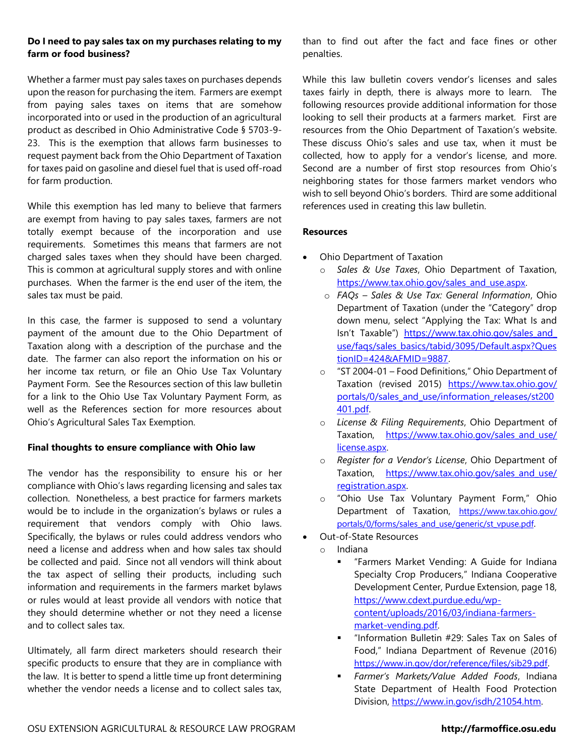# **Do I need to pay sales tax on my purchases relating to my farm or food business?**

Whether a farmer must pay sales taxes on purchases depends upon the reason for purchasing the item. Farmers are exempt from paying sales taxes on items that are somehow incorporated into or used in the production of an agricultural product as described in Ohio Administrative Code § 5703-9- 23. This is the exemption that allows farm businesses to request payment back from the Ohio Department of Taxation for taxes paid on gasoline and diesel fuel that is used off-road for farm production.

While this exemption has led many to believe that farmers are exempt from having to pay sales taxes, farmers are not totally exempt because of the incorporation and use requirements. Sometimes this means that farmers are not charged sales taxes when they should have been charged. This is common at agricultural supply stores and with online purchases. When the farmer is the end user of the item, the sales tax must be paid.

In this case, the farmer is supposed to send a voluntary payment of the amount due to the Ohio Department of Taxation along with a description of the purchase and the date. The farmer can also report the information on his or her income tax return, or file an Ohio Use Tax Voluntary Payment Form. See the Resources section of this law bulletin for a link to the Ohio Use Tax Voluntary Payment Form, as well as the References section for more resources about Ohio's Agricultural Sales Tax Exemption.

# **Final thoughts to ensure compliance with Ohio law**

The vendor has the responsibility to ensure his or her compliance with Ohio's laws regarding licensing and sales tax collection. Nonetheless, a best practice for farmers markets would be to include in the organization's bylaws or rules a requirement that vendors comply with Ohio laws. Specifically, the bylaws or rules could address vendors who need a license and address when and how sales tax should be collected and paid. Since not all vendors will think about the tax aspect of selling their products, including such information and requirements in the farmers market bylaws or rules would at least provide all vendors with notice that they should determine whether or not they need a license and to collect sales tax.

Ultimately, all farm direct marketers should research their specific products to ensure that they are in compliance with the law. It is better to spend a little time up front determining whether the vendor needs a license and to collect sales tax, than to find out after the fact and face fines or other penalties.

While this law bulletin covers vendor's licenses and sales taxes fairly in depth, there is always more to learn. The following resources provide additional information for those looking to sell their products at a farmers market. First are resources from the Ohio Department of Taxation's website. These discuss Ohio's sales and use tax, when it must be collected, how to apply for a vendor's license, and more. Second are a number of first stop resources from Ohio's neighboring states for those farmers market vendors who wish to sell beyond Ohio's borders. Third are some additional references used in creating this law bulletin.

# **Resources**

- Ohio Department of Taxation
	- o *Sales & Use Taxes*, Ohio Department of Taxation, [https://www.tax.ohio.gov/sales\\_and\\_use.aspx.](https://www.tax.ohio.gov/sales_and_use.aspx)
	- o *FAQs – Sales & Use Tax: General Information*, Ohio Department of Taxation (under the "Category" drop down menu, select "Applying the Tax: What Is and Isn't Taxable") [https://www.tax.ohio.gov/sales\\_and\\_](https://www.tax.ohio.gov/sales_and_‌use/faqs/sales_basics/tabid/3095/Default.aspx?QuestionID=424&AFMID=9887) [use/faqs/sales\\_basics/tabid/3095/Default.aspx?Ques](https://www.tax.ohio.gov/sales_and_‌use/faqs/sales_basics/tabid/3095/Default.aspx?QuestionID=424&AFMID=9887) [tionID=424&AFMID=9887.](https://www.tax.ohio.gov/sales_and_‌use/faqs/sales_basics/tabid/3095/Default.aspx?QuestionID=424&AFMID=9887)
	- o "ST 2004-01 Food Definitions," Ohio Department of Taxation (revised 2015) [https://www.tax.ohio.gov/](https://www.tax.ohio.gov/‌portals/0/sales_and_use/information_releases/st200401.pdf) [portals/0/sales\\_and\\_use/information\\_releases/st200](https://www.tax.ohio.gov/‌portals/0/sales_and_use/information_releases/st200401.pdf) [401.pdf.](https://www.tax.ohio.gov/‌portals/0/sales_and_use/information_releases/st200401.pdf)
	- o *License & Filing Requirements*, Ohio Department of Taxation, [https://www.tax.ohio.gov/sales\\_and\\_use/](https://www.tax.ohio.gov/sales_and_use/‌license.aspx) [license.aspx.](https://www.tax.ohio.gov/sales_and_use/‌license.aspx)
	- o *Register for a Vendor's License*, Ohio Department of Taxation, [https://www.tax.ohio.gov/sales\\_and\\_use/](https://www.tax.ohio.gov/sales_and_use/‌registration.aspx) [registration.aspx.](https://www.tax.ohio.gov/sales_and_use/‌registration.aspx)
	- o "Ohio Use Tax Voluntary Payment Form," Ohio Department of Taxation, [https://www.tax.ohio.gov/](https://www.tax.ohio.gov/‌portals/0/forms/sales_and_use/generic/st_vpuse.pdf) [portals/0/forms/sales\\_and\\_use/generic/st\\_vpuse.pdf](https://www.tax.ohio.gov/‌portals/0/forms/sales_and_use/generic/st_vpuse.pdf).
- Out-of-State Resources
	- o Indiana
		- "Farmers Market Vending: A Guide for Indiana Specialty Crop Producers," Indiana Cooperative Development Center, Purdue Extension, page 18, [https://www.cdext.purdue.edu/wp](https://www.cdext.purdue.edu/wp-content/uploads/2016/03/indiana-farmers-market-vending.pdf)[content/uploads/2016/03/indiana-farmers](https://www.cdext.purdue.edu/wp-content/uploads/2016/03/indiana-farmers-market-vending.pdf)[market-vending.pdf.](https://www.cdext.purdue.edu/wp-content/uploads/2016/03/indiana-farmers-market-vending.pdf)
		- **E** "Information Bulletin #29: Sales Tax on Sales of Food," Indiana Department of Revenue (2016) <https://www.in.gov/dor/reference/files/sib29.pdf>.
		- *Farmer's Markets/Value Added Foods*, Indiana State Department of Health Food Protection Division, [https://www.in.gov/isdh/21054.htm.](https://www.in.gov/isdh/21054.htm)